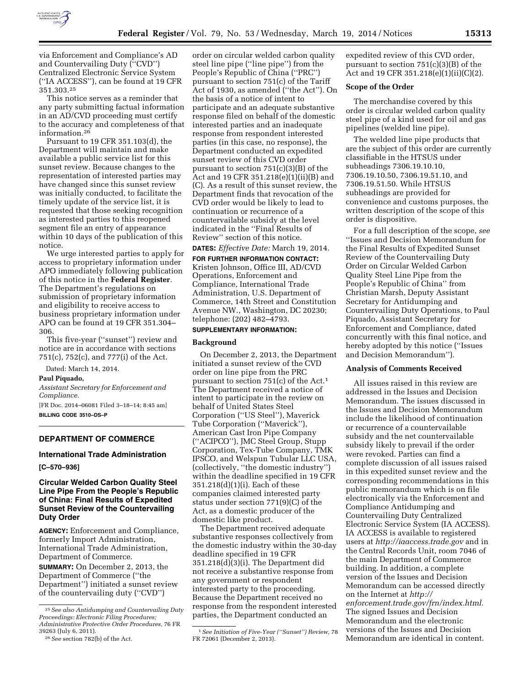

via Enforcement and Compliance's AD and Countervailing Duty (''CVD'') Centralized Electronic Service System (''IA ACCESS''), can be found at 19 CFR 351.303.25

This notice serves as a reminder that any party submitting factual information in an AD/CVD proceeding must certify to the accuracy and completeness of that information.26

Pursuant to 19 CFR 351.103(d), the Department will maintain and make available a public service list for this sunset review. Because changes to the representation of interested parties may have changed since this sunset review was initially conducted, to facilitate the timely update of the service list, it is requested that those seeking recognition as interested parties to this reopened segment file an entry of appearance within 10 days of the publication of this notice.

We urge interested parties to apply for access to proprietary information under APO immediately following publication of this notice in the **Federal Register**. The Department's regulations on submission of proprietary information and eligibility to receive access to business proprietary information under APO can be found at 19 CFR 351.304– 306.

This five-year (''sunset'') review and notice are in accordance with sections 751(c), 752(c), and 777(i) of the Act.

Dated: March 14, 2014.

# **Paul Piquado,**

*Assistant Secretary for Enforcement and Compliance.* 

[FR Doc. 2014–06081 Filed 3–18–14; 8:45 am] **BILLING CODE 3510–DS–P** 

# **DEPARTMENT OF COMMERCE**

#### **International Trade Administration**

**[C–570–936]** 

# **Circular Welded Carbon Quality Steel Line Pipe From the People's Republic of China: Final Results of Expedited Sunset Review of the Countervailing Duty Order**

**AGENCY:** Enforcement and Compliance, formerly Import Administration, International Trade Administration, Department of Commerce. **SUMMARY:** On December 2, 2013, the Department of Commerce (''the Department'') initiated a sunset review of the countervailing duty (''CVD'')

order on circular welded carbon quality steel line pipe (''line pipe'') from the People's Republic of China (''PRC'') pursuant to section 751(c) of the Tariff Act of 1930, as amended (''the Act''). On the basis of a notice of intent to participate and an adequate substantive response filed on behalf of the domestic interested parties and an inadequate response from respondent interested parties (in this case, no response), the Department conducted an expedited sunset review of this CVD order pursuant to section 751(c)(3)(B) of the Act and 19 CFR 351.218(e)(1)(ii)(B) and (C). As a result of this sunset review, the Department finds that revocation of the CVD order would be likely to lead to continuation or recurrence of a countervailable subsidy at the level indicated in the ''Final Results of Review'' section of this notice.

# **DATES:** *Effective Date:* March 19, 2014.

**FOR FURTHER INFORMATION CONTACT:**  Kristen Johnson, Office III, AD/CVD Operations, Enforcement and Compliance, International Trade Administration, U.S. Department of Commerce, 14th Street and Constitution Avenue NW., Washington, DC 20230; telephone: (202) 482–4793.

# **SUPPLEMENTARY INFORMATION:**

# **Background**

On December 2, 2013, the Department initiated a sunset review of the CVD order on line pipe from the PRC pursuant to section 751(c) of the Act.1 The Department received a notice of intent to participate in the review on behalf of United States Steel Corporation (''US Steel''), Maverick Tube Corporation (''Maverick''), American Cast Iron Pipe Company (''ACIPCO''), JMC Steel Group, Stupp Corporation, Tex-Tube Company, TMK IPSCO, and Welspun Tubular LLC USA, (collectively, ''the domestic industry'') within the deadline specified in 19 CFR 351.218(d)(1)(i). Each of these companies claimed interested party status under section 771(9)(C) of the Act, as a domestic producer of the domestic like product.

The Department received adequate substantive responses collectively from the domestic industry within the 30-day deadline specified in 19 CFR 351.218(d)(3)(i). The Department did not receive a substantive response from any government or respondent interested party to the proceeding. Because the Department received no response from the respondent interested parties, the Department conducted an

expedited review of this CVD order, pursuant to section 751(c)(3)(B) of the Act and 19 CFR 351.218(e)(1)(ii)(C)(2).

#### **Scope of the Order**

The merchandise covered by this order is circular welded carbon quality steel pipe of a kind used for oil and gas pipelines (welded line pipe).

The welded line pipe products that are the subject of this order are currently classifiable in the HTSUS under subheadings 7306.19.10.10, 7306.19.10.50, 7306.19.51.10, and 7306.19.51.50. While HTSUS subheadings are provided for convenience and customs purposes, the written description of the scope of this order is dispositive.

For a full description of the scope, *see*  ''Issues and Decision Memorandum for the Final Results of Expedited Sunset Review of the Countervailing Duty Order on Circular Welded Carbon Quality Steel Line Pipe from the People's Republic of China'' from Christian Marsh, Deputy Assistant Secretary for Antidumping and Countervailing Duty Operations, to Paul Piquado, Assistant Secretary for Enforcement and Compliance, dated concurrently with this final notice, and hereby adopted by this notice (''Issues and Decision Memorandum'').

#### **Analysis of Comments Received**

All issues raised in this review are addressed in the Issues and Decision Memorandum. The issues discussed in the Issues and Decision Memorandum include the likelihood of continuation or recurrence of a countervailable subsidy and the net countervailable subsidy likely to prevail if the order were revoked. Parties can find a complete discussion of all issues raised in this expedited sunset review and the corresponding recommendations in this public memorandum which is on file electronically via the Enforcement and Compliance Antidumping and Countervailing Duty Centralized Electronic Service System (IA ACCESS). IA ACCESS is available to registered users at *<http://iaaccess.trade.gov>* and in the Central Records Unit, room 7046 of the main Department of Commerce building. In addition, a complete version of the Issues and Decision Memorandum can be accessed directly on the Internet at *[http://](http://enforcement.trade.gov/frn/index.html)  [enforcement.trade.gov/frn/index.html.](http://enforcement.trade.gov/frn/index.html)*  The signed Issues and Decision Memorandum and the electronic versions of the Issues and Decision Memorandum are identical in content.

<sup>25</sup>*See also Antidumping and Countervailing Duty Proceedings: Electronic Filing Procedures; Administrative Protective Order Procedures,* 76 FR 39263 (July 6, 2011).

<sup>26</sup>*See* section 782(b) of the Act.

<sup>1</sup>*See Initiation of Five-Year (''Sunset'') Review,* 78 FR 72061 (December 2, 2013).